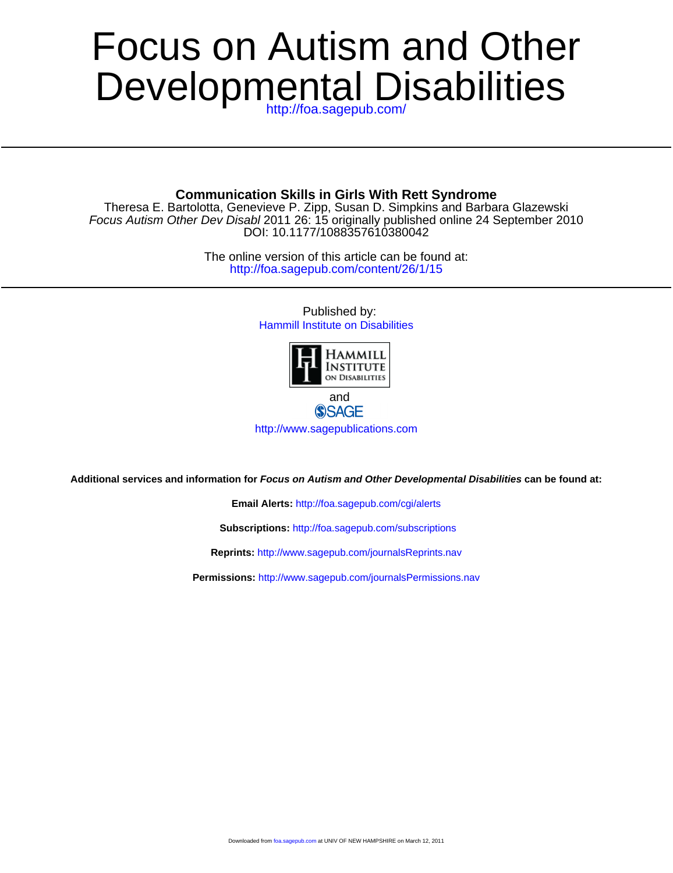# Developmental Disabilities Focus on Autism and Other

DOI: 10.1177/1088357610380042 Focus Autism Other Dev Disabl 2011 26: 15 originally published online 24 September 2010 Theresa E. Bartolotta, Genevieve P. Zipp, Susan D. Simpkins and Barbara Glazewski **Communication Skills in Girls With Rett Syndrome**

> <http://foa.sagepub.com/content/26/1/15> The online version of this article can be found at:

> > Published by: [Hammill Institute on Disabilities](http://www.hammill-institute.org/)



and **SSAGE** 

<http://www.sagepublications.com>

**Additional services and information for Focus on Autism and Other Developmental Disabilities can be found at:**

**Email Alerts:** <http://foa.sagepub.com/cgi/alerts>

**Subscriptions:** <http://foa.sagepub.com/subscriptions>

**Reprints:** <http://www.sagepub.com/journalsReprints.nav>

**Permissions:** <http://www.sagepub.com/journalsPermissions.nav>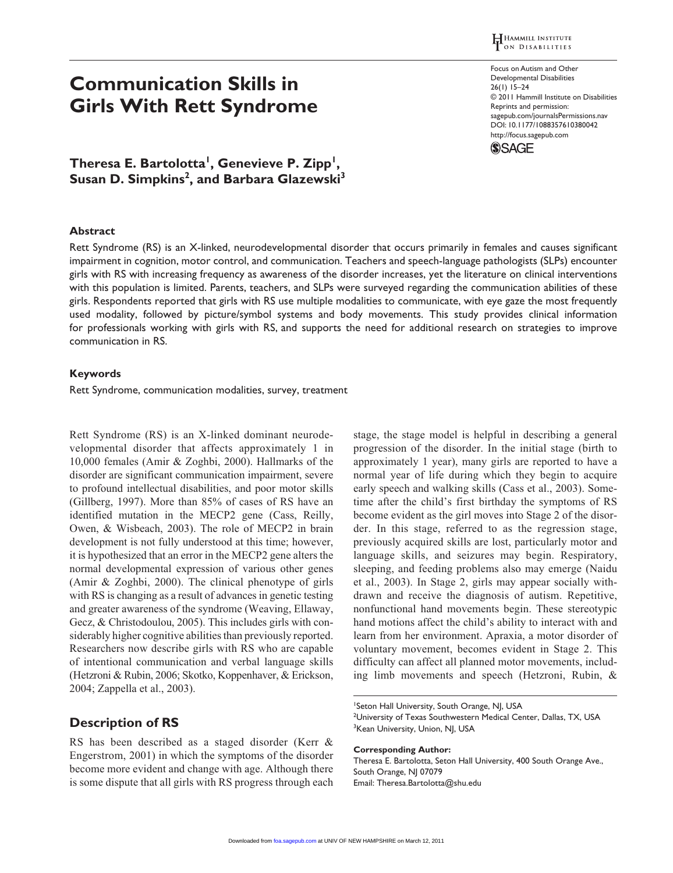# **Communication Skills in Girls With Rett Syndrome**

#### Focus on Autism and Other Developmental Disabilities 26(1) 15–24 © 2011 Hammill Institute on Disabilities Reprints and permission: sagepub.com/journalsPermissions.nav DOI: 10.1177/1088357610380042 http://focus.sagepub.com



## Theresa E. Bartolotta<sup>1</sup>, Genevieve P. Zipp<sup>1</sup>, **Susan D. Simpkins2 , and Barbara Glazewski3**

#### **Abstract**

Rett Syndrome (RS) is an X-linked, neurodevelopmental disorder that occurs primarily in females and causes significant impairment in cognition, motor control, and communication. Teachers and speech-language pathologists (SLPs) encounter girls with RS with increasing frequency as awareness of the disorder increases, yet the literature on clinical interventions with this population is limited. Parents, teachers, and SLPs were surveyed regarding the communication abilities of these girls. Respondents reported that girls with RS use multiple modalities to communicate, with eye gaze the most frequently used modality, followed by picture/symbol systems and body movements. This study provides clinical information for professionals working with girls with RS, and supports the need for additional research on strategies to improve communication in RS.

#### **Keywords**

Rett Syndrome, communication modalities, survey, treatment

Rett Syndrome (RS) is an X-linked dominant neurodevelopmental disorder that affects approximately 1 in 10,000 females (Amir & Zoghbi, 2000). Hallmarks of the disorder are significant communication impairment, severe to profound intellectual disabilities, and poor motor skills (Gillberg, 1997). More than 85% of cases of RS have an identified mutation in the MECP2 gene (Cass, Reilly, Owen, & Wisbeach, 2003). The role of MECP2 in brain development is not fully understood at this time; however, it is hypothesized that an error in the MECP2 gene alters the normal developmental expression of various other genes (Amir & Zoghbi, 2000). The clinical phenotype of girls with RS is changing as a result of advances in genetic testing and greater awareness of the syndrome (Weaving, Ellaway, Gecz, & Christodoulou, 2005). This includes girls with considerably higher cognitive abilities than previously reported. Researchers now describe girls with RS who are capable of intentional communication and verbal language skills (Hetzroni & Rubin, 2006; Skotko, Koppenhaver, & Erickson, 2004; Zappella et al., 2003).

### **Description of RS**

RS has been described as a staged disorder (Kerr & Engerstrom, 2001) in which the symptoms of the disorder become more evident and change with age. Although there is some dispute that all girls with RS progress through each

stage, the stage model is helpful in describing a general progression of the disorder. In the initial stage (birth to approximately 1 year), many girls are reported to have a normal year of life during which they begin to acquire early speech and walking skills (Cass et al., 2003). Sometime after the child's first birthday the symptoms of RS become evident as the girl moves into Stage 2 of the disorder. In this stage, referred to as the regression stage, previously acquired skills are lost, particularly motor and language skills, and seizures may begin. Respiratory, sleeping, and feeding problems also may emerge (Naidu et al., 2003). In Stage 2, girls may appear socially withdrawn and receive the diagnosis of autism. Repetitive, nonfunctional hand movements begin. These stereotypic hand motions affect the child's ability to interact with and learn from her environment. Apraxia, a motor disorder of voluntary movement, becomes evident in Stage 2. This difficulty can affect all planned motor movements, including limb movements and speech (Hetzroni, Rubin, &

1 Seton Hall University, South Orange, NJ, USA <sup>2</sup>University of Texas Southwestern Medical Center, Dallas, TX, USA <sup>3</sup>Kean University, Union, NJ, USA

#### **Corresponding Author:**

Theresa E. Bartolotta, Seton Hall University, 400 South Orange Ave., South Orange, NJ 07079 Email: Theresa.Bartolotta@shu.edu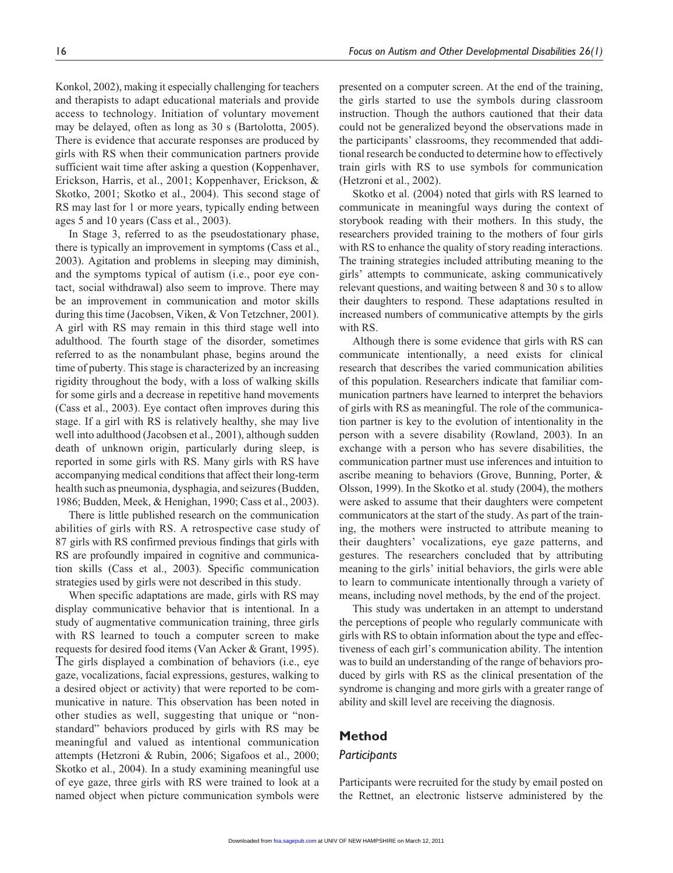Konkol, 2002), making it especially challenging for teachers and therapists to adapt educational materials and provide access to technology. Initiation of voluntary movement may be delayed, often as long as 30 s (Bartolotta, 2005). There is evidence that accurate responses are produced by girls with RS when their communication partners provide sufficient wait time after asking a question (Koppenhaver, Erickson, Harris, et al., 2001; Koppenhaver, Erickson, & Skotko, 2001; Skotko et al., 2004). This second stage of RS may last for 1 or more years, typically ending between ages 5 and 10 years (Cass et al., 2003).

In Stage 3, referred to as the pseudostationary phase, there is typically an improvement in symptoms (Cass et al., 2003). Agitation and problems in sleeping may diminish, and the symptoms typical of autism (i.e., poor eye contact, social withdrawal) also seem to improve. There may be an improvement in communication and motor skills during this time (Jacobsen, Viken, & Von Tetzchner, 2001). A girl with RS may remain in this third stage well into adulthood. The fourth stage of the disorder, sometimes referred to as the nonambulant phase, begins around the time of puberty. This stage is characterized by an increasing rigidity throughout the body, with a loss of walking skills for some girls and a decrease in repetitive hand movements (Cass et al., 2003). Eye contact often improves during this stage. If a girl with RS is relatively healthy, she may live well into adulthood (Jacobsen et al., 2001), although sudden death of unknown origin, particularly during sleep, is reported in some girls with RS. Many girls with RS have accompanying medical conditions that affect their long-term health such as pneumonia, dysphagia, and seizures (Budden, 1986; Budden, Meek, & Henighan, 1990; Cass et al., 2003).

There is little published research on the communication abilities of girls with RS. A retrospective case study of 87 girls with RS confirmed previous findings that girls with RS are profoundly impaired in cognitive and communication skills (Cass et al., 2003). Specific communication strategies used by girls were not described in this study.

When specific adaptations are made, girls with RS may display communicative behavior that is intentional. In a study of augmentative communication training, three girls with RS learned to touch a computer screen to make requests for desired food items (Van Acker & Grant, 1995). The girls displayed a combination of behaviors (i.e., eye gaze, vocalizations, facial expressions, gestures, walking to a desired object or activity) that were reported to be communicative in nature. This observation has been noted in other studies as well, suggesting that unique or "nonstandard" behaviors produced by girls with RS may be meaningful and valued as intentional communication attempts (Hetzroni & Rubin, 2006; Sigafoos et al., 2000; Skotko et al., 2004). In a study examining meaningful use of eye gaze, three girls with RS were trained to look at a named object when picture communication symbols were presented on a computer screen. At the end of the training, the girls started to use the symbols during classroom instruction. Though the authors cautioned that their data could not be generalized beyond the observations made in the participants' classrooms, they recommended that additional research be conducted to determine how to effectively train girls with RS to use symbols for communication (Hetzroni et al., 2002).

Skotko et al. (2004) noted that girls with RS learned to communicate in meaningful ways during the context of storybook reading with their mothers. In this study, the researchers provided training to the mothers of four girls with RS to enhance the quality of story reading interactions. The training strategies included attributing meaning to the girls' attempts to communicate, asking communicatively relevant questions, and waiting between 8 and 30 s to allow their daughters to respond. These adaptations resulted in increased numbers of communicative attempts by the girls with RS.

Although there is some evidence that girls with RS can communicate intentionally, a need exists for clinical research that describes the varied communication abilities of this population. Researchers indicate that familiar communication partners have learned to interpret the behaviors of girls with RS as meaningful. The role of the communication partner is key to the evolution of intentionality in the person with a severe disability (Rowland, 2003). In an exchange with a person who has severe disabilities, the communication partner must use inferences and intuition to ascribe meaning to behaviors (Grove, Bunning, Porter, & Olsson, 1999). In the Skotko et al. study (2004), the mothers were asked to assume that their daughters were competent communicators at the start of the study. As part of the training, the mothers were instructed to attribute meaning to their daughters' vocalizations, eye gaze patterns, and gestures. The researchers concluded that by attributing meaning to the girls' initial behaviors, the girls were able to learn to communicate intentionally through a variety of means, including novel methods, by the end of the project.

This study was undertaken in an attempt to understand the perceptions of people who regularly communicate with girls with RS to obtain information about the type and effectiveness of each girl's communication ability. The intention was to build an understanding of the range of behaviors produced by girls with RS as the clinical presentation of the syndrome is changing and more girls with a greater range of ability and skill level are receiving the diagnosis.

#### **Method**

#### *Participants*

Participants were recruited for the study by email posted on the Rettnet, an electronic listserve administered by the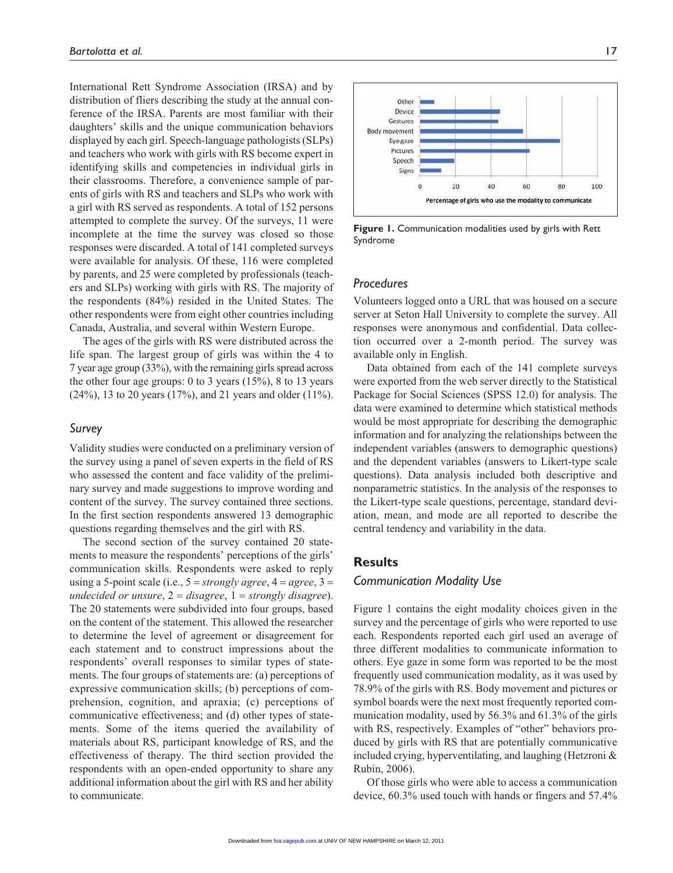International Rett Syndrome Association (IRSA) and by distribution of fliers describing the study at the annual conference of the IRSA. Parents are most familiar with their daughters' skills and the unique communication behaviors displayed by each girl. Speech-language pathologists (SLPs) and teachers who work with girls with RS become expert in identifying skills and competencies in individual girls in their classrooms. Therefore, a convenience sample of parents of girls with RS and teachers and SLPs who work with a girl with RS served as respondents. A total of 152 persons attempted to complete the survey. Of the surveys, 11 were incomplete at the time the survey was closed so those responses were discarded. A total of 141 completed surveys were available for analysis. Of these, 116 were completed by parents, and 25 were completed by professionals (teachers and SLPs) working with girls with RS. The majority of the respondents (84%) resided in the United States. The other respondents were from eight other countries including Canada, Australia, and several within Western Europe.

The ages of the girls with RS were distributed across the life span. The largest group of girls was within the 4 to 7 year age group (33%), with the remaining girls spread across the other four age groups: 0 to 3 years  $(15\%)$ , 8 to 13 years (24%), 13 to 20 years (17%), and 21 years and older (11%).

#### *Survey*

Validity studies were conducted on a preliminary version of the survey using a panel of seven experts in the field of RS who assessed the content and face validity of the preliminary survey and made suggestions to improve wording and content of the survey. The survey contained three sections. In the first section respondents answered 13 demographic questions regarding themselves and the girl with RS.

The second section of the survey contained 20 statements to measure the respondents' perceptions of the girls' communication skills. Respondents were asked to reply using a 5-point scale (i.e.,  $5 = strongly$  *agree*,  $4 = agree$ ,  $3 =$ *undecided or unsure*, 2 = *disagree*, 1 = *strongly disagree*). The 20 statements were subdivided into four groups, based on the content of the statement. This allowed the researcher to determine the level of agreement or disagreement for each statement and to construct impressions about the respondents' overall responses to similar types of statements. The four groups of statements are: (a) perceptions of expressive communication skills; (b) perceptions of comprehension, cognition, and apraxia; (c) perceptions of communicative effectiveness; and (d) other types of statements. Some of the items queried the availability of materials about RS, participant knowledge of RS, and the effectiveness of therapy. The third section provided the respondents with an open-ended opportunity to share any additional information about the girl with RS and her ability to communicate.



**Figure 1.** Communication modalities used by girls with Rett Syndrome

#### *Procedures*

Volunteers logged onto a URL that was housed on a secure server at Seton Hall University to complete the survey. All responses were anonymous and confidential. Data collection occurred over a 2-month period. The survey was available only in English.

Data obtained from each of the 141 complete surveys were exported from the web server directly to the Statistical Package for Social Sciences (SPSS 12.0) for analysis. The data were examined to determine which statistical methods would be most appropriate for describing the demographic information and for analyzing the relationships between the independent variables (answers to demographic questions) and the dependent variables (answers to Likert-type scale questions). Data analysis included both descriptive and nonparametric statistics. In the analysis of the responses to the Likert-type scale questions, percentage, standard deviation, mean, and mode are all reported to describe the central tendency and variability in the data.

#### **Results**

#### *Communication Modality Use*

Figure 1 contains the eight modality choices given in the survey and the percentage of girls who were reported to use each. Respondents reported each girl used an average of three different modalities to communicate information to others. Eye gaze in some form was reported to be the most frequently used communication modality, as it was used by 78.9% of the girls with RS. Body movement and pictures or symbol boards were the next most frequently reported communication modality, used by 56.3% and 61.3% of the girls with RS, respectively. Examples of "other" behaviors produced by girls with RS that are potentially communicative included crying, hyperventilating, and laughing (Hetzroni & Rubin, 2006).

Of those girls who were able to access a communication device, 60.3% used touch with hands or fingers and 57.4%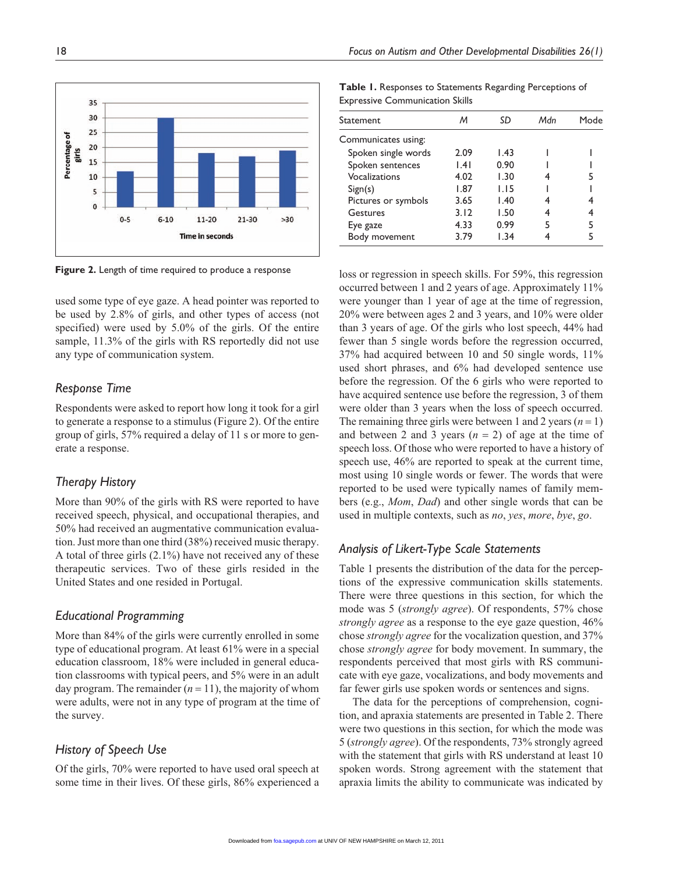

**Figure 2.** Length of time required to produce a response

used some type of eye gaze. A head pointer was reported to be used by 2.8% of girls, and other types of access (not specified) were used by 5.0% of the girls. Of the entire sample,  $11.3\%$  of the girls with RS reportedly did not use any type of communication system.

#### *Response Time*

Respondents were asked to report how long it took for a girl to generate a response to a stimulus (Figure 2). Of the entire group of girls, 57% required a delay of 11 s or more to generate a response.

#### *Therapy History*

More than 90% of the girls with RS were reported to have received speech, physical, and occupational therapies, and 50% had received an augmentative communication evaluation. Just more than one third (38%) received music therapy. A total of three girls (2.1%) have not received any of these therapeutic services. Two of these girls resided in the United States and one resided in Portugal.

#### *Educational Programming*

More than 84% of the girls were currently enrolled in some type of educational program. At least 61% were in a special education classroom, 18% were included in general education classrooms with typical peers, and 5% were in an adult day program. The remainder  $(n = 11)$ , the majority of whom were adults, were not in any type of program at the time of the survey.

#### *History of Speech Use*

Of the girls, 70% were reported to have used oral speech at some time in their lives. Of these girls, 86% experienced a

**Table 1.** Responses to Statements Regarding Perceptions of Expressive Communication Skills

| Statement           | Μ    |      | Mdn | Mode |
|---------------------|------|------|-----|------|
| Communicates using: |      |      |     |      |
| Spoken single words | 2.09 | 1.43 |     |      |
| Spoken sentences    | 4    | 0.90 |     |      |
| Vocalizations       | 4.02 | 1.30 |     |      |
| Sign(s)             | 1.87 | 1.15 |     |      |
| Pictures or symbols | 3.65 | 1.40 |     |      |
| Gestures            | 3.12 | 1.50 |     |      |
| Eye gaze            | 4.33 | 0.99 | 5   |      |
| Body movement       | 3.79 | 1.34 |     |      |

loss or regression in speech skills. For 59%, this regression occurred between 1 and 2 years of age. Approximately 11% were younger than 1 year of age at the time of regression, 20% were between ages 2 and 3 years, and 10% were older than 3 years of age. Of the girls who lost speech, 44% had fewer than 5 single words before the regression occurred, 37% had acquired between 10 and 50 single words, 11% used short phrases, and 6% had developed sentence use before the regression. Of the 6 girls who were reported to have acquired sentence use before the regression, 3 of them were older than 3 years when the loss of speech occurred. The remaining three girls were between 1 and 2 years (*n* = 1) and between 2 and 3 years  $(n = 2)$  of age at the time of speech loss. Of those who were reported to have a history of speech use, 46% are reported to speak at the current time, most using 10 single words or fewer. The words that were reported to be used were typically names of family members (e.g., *Mom*, *Dad*) and other single words that can be used in multiple contexts, such as *no*, *yes*, *more*, *bye*, *go*.

#### *Analysis of Likert-Type Scale Statements*

Table 1 presents the distribution of the data for the perceptions of the expressive communication skills statements. There were three questions in this section, for which the mode was 5 (*strongly agree*). Of respondents, 57% chose *strongly agree* as a response to the eye gaze question, 46% chose *strongly agree* for the vocalization question, and 37% chose *strongly agree* for body movement. In summary, the respondents perceived that most girls with RS communicate with eye gaze, vocalizations, and body movements and far fewer girls use spoken words or sentences and signs.

The data for the perceptions of comprehension, cognition, and apraxia statements are presented in Table 2. There were two questions in this section, for which the mode was 5 (*strongly agree*). Of the respondents, 73% strongly agreed with the statement that girls with RS understand at least 10 spoken words. Strong agreement with the statement that apraxia limits the ability to communicate was indicated by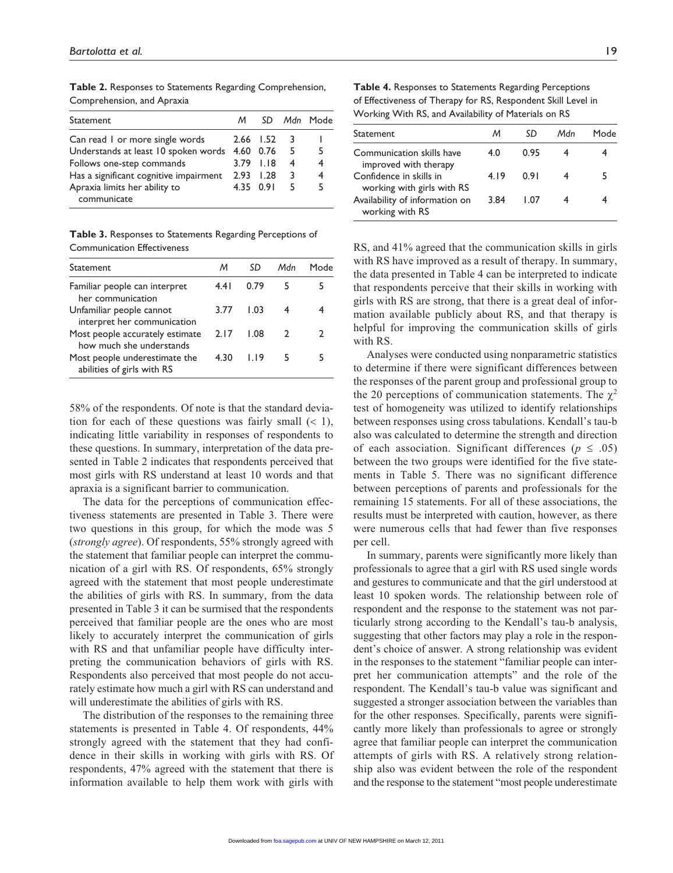| Statement                              | M.        |               |     | SD Mdn Mode |
|----------------------------------------|-----------|---------------|-----|-------------|
| Can read 1 or more single words        |           | $2.66$ 1.52   | - 3 |             |
| Understands at least 10 spoken words   |           | 4.60 0.76     | -5  | 5           |
| Follows one-step commands              |           | $3.79$ $1.18$ |     |             |
| Has a significant cognitive impairment | 2.93      | 1.28          | 3   |             |
| Apraxia limits her ability to          | 4.35 0.91 |               | 5   |             |
| communicate                            |           |               |     |             |

**Table 2.** Responses to Statements Regarding Comprehension, Comprehension, and Apraxia

**Table 3.** Responses to Statements Regarding Perceptions of Communication Effectiveness

| Statement                                                   | м    | SD   | Mdn | Mode |
|-------------------------------------------------------------|------|------|-----|------|
| Familiar people can interpret<br>her communication          | 441  | በ 79 | 5   |      |
| Unfamiliar people cannot<br>interpret her communication     | 3 77 | l 03 |     |      |
| Most people accurately estimate<br>how much she understands | 217  | 1 Q8 |     |      |
| Most people underestimate the<br>abilities of girls with RS | 430  | I 19 | 5   |      |

58% of the respondents. Of note is that the standard deviation for each of these questions was fairly small  $(< 1)$ , indicating little variability in responses of respondents to these questions. In summary, interpretation of the data presented in Table 2 indicates that respondents perceived that most girls with RS understand at least 10 words and that apraxia is a significant barrier to communication.

The data for the perceptions of communication effectiveness statements are presented in Table 3. There were two questions in this group, for which the mode was 5 (*strongly agree*). Of respondents, 55% strongly agreed with the statement that familiar people can interpret the communication of a girl with RS. Of respondents, 65% strongly agreed with the statement that most people underestimate the abilities of girls with RS. In summary, from the data presented in Table 3 it can be surmised that the respondents perceived that familiar people are the ones who are most likely to accurately interpret the communication of girls with RS and that unfamiliar people have difficulty interpreting the communication behaviors of girls with RS. Respondents also perceived that most people do not accurately estimate how much a girl with RS can understand and will underestimate the abilities of girls with RS.

The distribution of the responses to the remaining three statements is presented in Table 4. Of respondents, 44% strongly agreed with the statement that they had confidence in their skills in working with girls with RS. Of respondents, 47% agreed with the statement that there is information available to help them work with girls with

**Table 4.** Responses to Statements Regarding Perceptions of Effectiveness of Therapy for RS, Respondent Skill Level in Working With RS, and Availability of Materials on RS

| Statement                                             | м    | SD.  | Mdn | Mode |
|-------------------------------------------------------|------|------|-----|------|
| Communication skills have<br>improved with therapy    | 4.0  | 0.95 |     |      |
| Confidence in skills in<br>working with girls with RS | 419  | 0.91 |     | 5    |
| Availability of information on<br>working with RS     | 3.84 | 1.07 |     |      |

RS, and 41% agreed that the communication skills in girls with RS have improved as a result of therapy. In summary, the data presented in Table 4 can be interpreted to indicate that respondents perceive that their skills in working with girls with RS are strong, that there is a great deal of information available publicly about RS, and that therapy is helpful for improving the communication skills of girls with RS.

Analyses were conducted using nonparametric statistics to determine if there were significant differences between the responses of the parent group and professional group to the 20 perceptions of communication statements. The  $\chi^2$ test of homogeneity was utilized to identify relationships between responses using cross tabulations. Kendall's tau-b also was calculated to determine the strength and direction of each association. Significant differences ( $p \leq .05$ ) between the two groups were identified for the five statements in Table 5. There was no significant difference between perceptions of parents and professionals for the remaining 15 statements. For all of these associations, the results must be interpreted with caution, however, as there were numerous cells that had fewer than five responses per cell.

In summary, parents were significantly more likely than professionals to agree that a girl with RS used single words and gestures to communicate and that the girl understood at least 10 spoken words. The relationship between role of respondent and the response to the statement was not particularly strong according to the Kendall's tau-b analysis, suggesting that other factors may play a role in the respondent's choice of answer. A strong relationship was evident in the responses to the statement "familiar people can interpret her communication attempts" and the role of the respondent. The Kendall's tau-b value was significant and suggested a stronger association between the variables than for the other responses. Specifically, parents were significantly more likely than professionals to agree or strongly agree that familiar people can interpret the communication attempts of girls with RS. A relatively strong relationship also was evident between the role of the respondent and the response to the statement "most people underestimate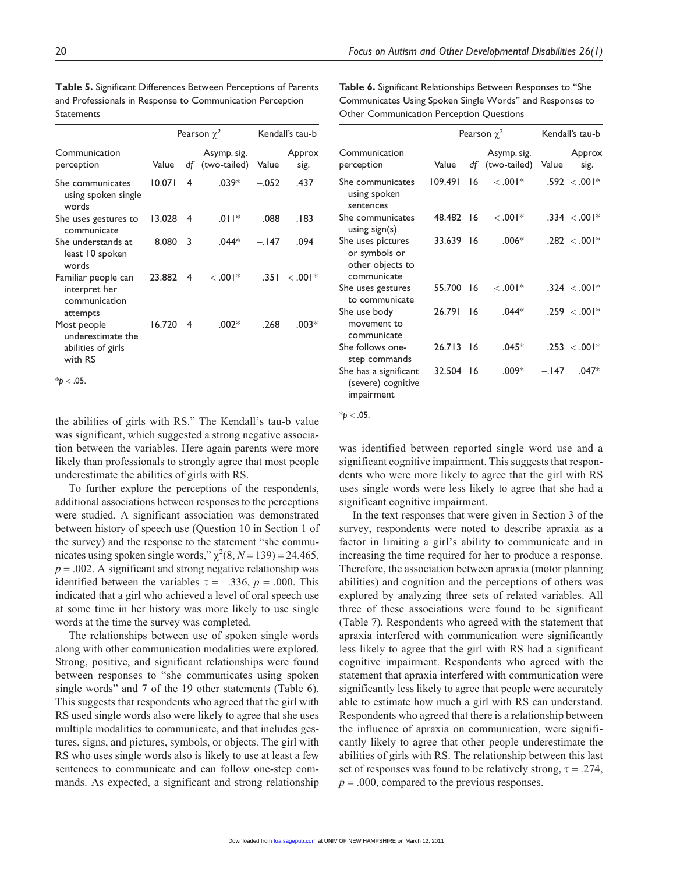|                                                                   | Pearson $\chi^2$ |   |                                | Kendall's tau-b |                |
|-------------------------------------------------------------------|------------------|---|--------------------------------|-----------------|----------------|
| Communication<br>perception                                       | Value            |   | Asymp. sig.<br>df (two-tailed) | Value           | Approx<br>sig. |
| She communicates<br>using spoken single<br>words                  | 10.071           | 4 | $.039*$                        | $-.052$         | .437           |
| She uses gestures to<br>communicate                               | 13.028           | 4 | $.011*$                        | $-.088$         | .183           |
| She understands at<br>least 10 spoken<br>words                    | 8.080            | 3 | $.044*$                        | $-147$          | .094           |
| Familiar people can<br>interpret her<br>communication<br>attempts | 23.882           | 4 | $<.001*$                       | $-.351$         | $<.001*$       |
| Most people<br>underestimate the<br>abilities of girls<br>with RS | 16.720           | 4 | $.002*$                        | $-268$          | $.003*$        |
| $\mathbf{v}$ . $\mathbf{v}$                                       |                  |   |                                |                 |                |

**Table 5.** Significant Differences Between Perceptions of Parents and Professionals in Response to Communication Perception Statements

\**p* < .05.

the abilities of girls with RS." The Kendall's tau-b value was significant, which suggested a strong negative association between the variables. Here again parents were more likely than professionals to strongly agree that most people underestimate the abilities of girls with RS.

To further explore the perceptions of the respondents, additional associations between responses to the perceptions were studied. A significant association was demonstrated between history of speech use (Question 10 in Section 1 of the survey) and the response to the statement "she communicates using spoken single words,"  $\chi^2(8, N = 139) = 24.465$ ,  $p = .002$ . A significant and strong negative relationship was identified between the variables  $\tau = -.336$ ,  $p = .000$ . This indicated that a girl who achieved a level of oral speech use at some time in her history was more likely to use single words at the time the survey was completed.

The relationships between use of spoken single words along with other communication modalities were explored. Strong, positive, and significant relationships were found between responses to "she communicates using spoken single words" and 7 of the 19 other statements (Table 6). This suggests that respondents who agreed that the girl with RS used single words also were likely to agree that she uses multiple modalities to communicate, and that includes gestures, signs, and pictures, symbols, or objects. The girl with RS who uses single words also is likely to use at least a few sentences to communicate and can follow one-step commands. As expected, a significant and strong relationship

**Table 6.** Significant Relationships Between Responses to "She Communicates Using Spoken Single Words" and Responses to Other Communication Perception Questions

|                                                                       |           | Pearson $\chi^2$ |                                | Kendall's tau-b |                     |
|-----------------------------------------------------------------------|-----------|------------------|--------------------------------|-----------------|---------------------|
| Communication<br>perception                                           | Value     |                  | Asymp. sig.<br>df (two-tailed) | Value           | Approx<br>sig.      |
| She communicates<br>using spoken<br>sentences                         | 109.491   | 16               | $<.001*$                       |                 | $.592 \times .001*$ |
| She communicates<br>using sign $(s)$                                  | 48 482 16 |                  | $<.001*$                       |                 | $.334 \times .001*$ |
| She uses pictures<br>or symbols or<br>other objects to<br>communicate | 33.639 16 |                  | $.006*$                        |                 | $.282 \div .001*$   |
| She uses gestures<br>to communicate                                   | 55.700    | 16               | $<.001*$                       |                 | $.324 \times .001*$ |
| She use body<br>movement to<br>communicate                            | 26.791    | -16              | $.044*$                        |                 | $.259 < .001*$      |
| She follows one-<br>step commands                                     | 26.713 16 |                  | $045*$                         |                 | $.253 \div .001*$   |
| She has a significant<br>(severe) cognitive<br>impairment             | 32.504 16 |                  | $.009*$                        | $-147$          | $.047*$             |

\**p* < .05.

was identified between reported single word use and a significant cognitive impairment. This suggests that respondents who were more likely to agree that the girl with RS uses single words were less likely to agree that she had a significant cognitive impairment.

In the text responses that were given in Section 3 of the survey, respondents were noted to describe apraxia as a factor in limiting a girl's ability to communicate and in increasing the time required for her to produce a response. Therefore, the association between apraxia (motor planning abilities) and cognition and the perceptions of others was explored by analyzing three sets of related variables. All three of these associations were found to be significant (Table 7). Respondents who agreed with the statement that apraxia interfered with communication were significantly less likely to agree that the girl with RS had a significant cognitive impairment. Respondents who agreed with the statement that apraxia interfered with communication were significantly less likely to agree that people were accurately able to estimate how much a girl with RS can understand. Respondents who agreed that there is a relationship between the influence of apraxia on communication, were significantly likely to agree that other people underestimate the abilities of girls with RS. The relationship between this last set of responses was found to be relatively strong,  $\tau = .274$ ,  $p = .000$ , compared to the previous responses.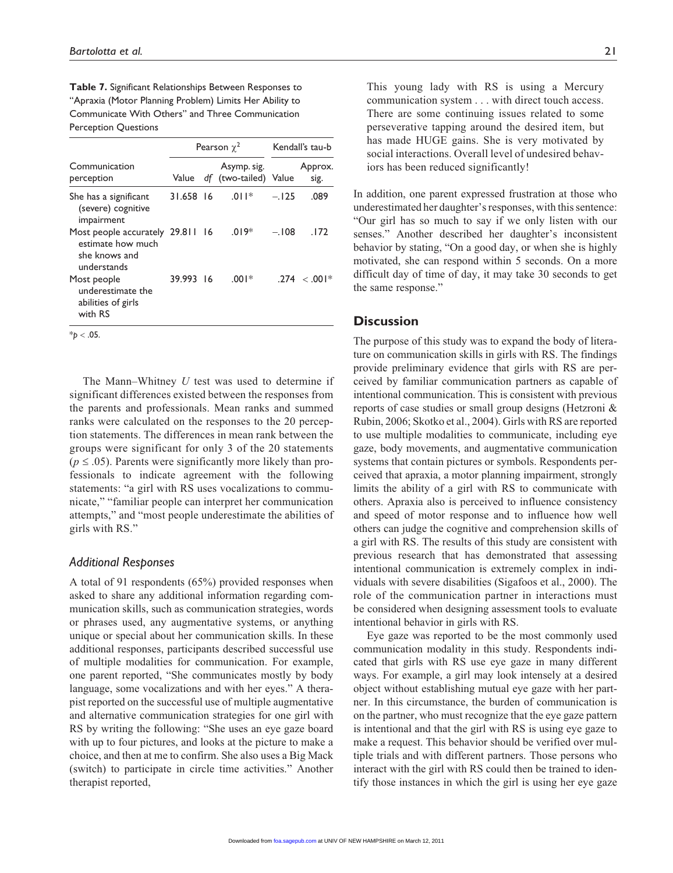**Table 7.** Significant Relationships Between Responses to "Apraxia (Motor Planning Problem) Limits Her Ability to Communicate With Others" and Three Communication Perception Questions

|                                                                                       | Pearson $\gamma^2$ |  |                                      | Kendall's tau-b |                     |
|---------------------------------------------------------------------------------------|--------------------|--|--------------------------------------|-----------------|---------------------|
| Communication<br>perception                                                           | Value              |  | Asymp. sig.<br>df (two-tailed) Value |                 | Approx.<br>sig.     |
| She has a significant<br>(severe) cognitive<br>impairment                             | 31.658 16          |  | $.011*$                              | $-125$          | .089                |
| Most people accurately 29.811 16<br>estimate how much<br>she knows and<br>understands |                    |  | $.019*$                              | $-.108$         | .172                |
| Most people<br>underestimate the<br>abilities of girls<br>with RS                     | 39.993 16          |  | $.001*$                              |                 | $.274 \times .001*$ |

 $*_{p}$  < .05.

The Mann–Whitney *U* test was used to determine if significant differences existed between the responses from the parents and professionals. Mean ranks and summed ranks were calculated on the responses to the 20 perception statements. The differences in mean rank between the groups were significant for only 3 of the 20 statements  $(p \leq .05)$ . Parents were significantly more likely than professionals to indicate agreement with the following statements: "a girl with RS uses vocalizations to communicate," "familiar people can interpret her communication attempts," and "most people underestimate the abilities of girls with RS."

#### *Additional Responses*

A total of 91 respondents (65%) provided responses when asked to share any additional information regarding communication skills, such as communication strategies, words or phrases used, any augmentative systems, or anything unique or special about her communication skills. In these additional responses, participants described successful use of multiple modalities for communication. For example, one parent reported, "She communicates mostly by body language, some vocalizations and with her eyes." A therapist reported on the successful use of multiple augmentative and alternative communication strategies for one girl with RS by writing the following: "She uses an eye gaze board with up to four pictures, and looks at the picture to make a choice, and then at me to confirm. She also uses a Big Mack (switch) to participate in circle time activities." Another therapist reported,

This young lady with RS is using a Mercury communication system . . . with direct touch access. There are some continuing issues related to some perseverative tapping around the desired item, but has made HUGE gains. She is very motivated by social interactions. Overall level of undesired behaviors has been reduced significantly!

In addition, one parent expressed frustration at those who underestimated her daughter's responses, with this sentence: "Our girl has so much to say if we only listen with our senses." Another described her daughter's inconsistent behavior by stating, "On a good day, or when she is highly motivated, she can respond within 5 seconds. On a more difficult day of time of day, it may take 30 seconds to get the same response."

#### **Discussion**

The purpose of this study was to expand the body of literature on communication skills in girls with RS. The findings provide preliminary evidence that girls with RS are perceived by familiar communication partners as capable of intentional communication. This is consistent with previous reports of case studies or small group designs (Hetzroni & Rubin, 2006; Skotko et al., 2004). Girls with RS are reported to use multiple modalities to communicate, including eye gaze, body movements, and augmentative communication systems that contain pictures or symbols. Respondents perceived that apraxia, a motor planning impairment, strongly limits the ability of a girl with RS to communicate with others. Apraxia also is perceived to influence consistency and speed of motor response and to influence how well others can judge the cognitive and comprehension skills of a girl with RS. The results of this study are consistent with previous research that has demonstrated that assessing intentional communication is extremely complex in individuals with severe disabilities (Sigafoos et al., 2000). The role of the communication partner in interactions must be considered when designing assessment tools to evaluate intentional behavior in girls with RS.

Eye gaze was reported to be the most commonly used communication modality in this study. Respondents indicated that girls with RS use eye gaze in many different ways. For example, a girl may look intensely at a desired object without establishing mutual eye gaze with her partner. In this circumstance, the burden of communication is on the partner, who must recognize that the eye gaze pattern is intentional and that the girl with RS is using eye gaze to make a request. This behavior should be verified over multiple trials and with different partners. Those persons who interact with the girl with RS could then be trained to identify those instances in which the girl is using her eye gaze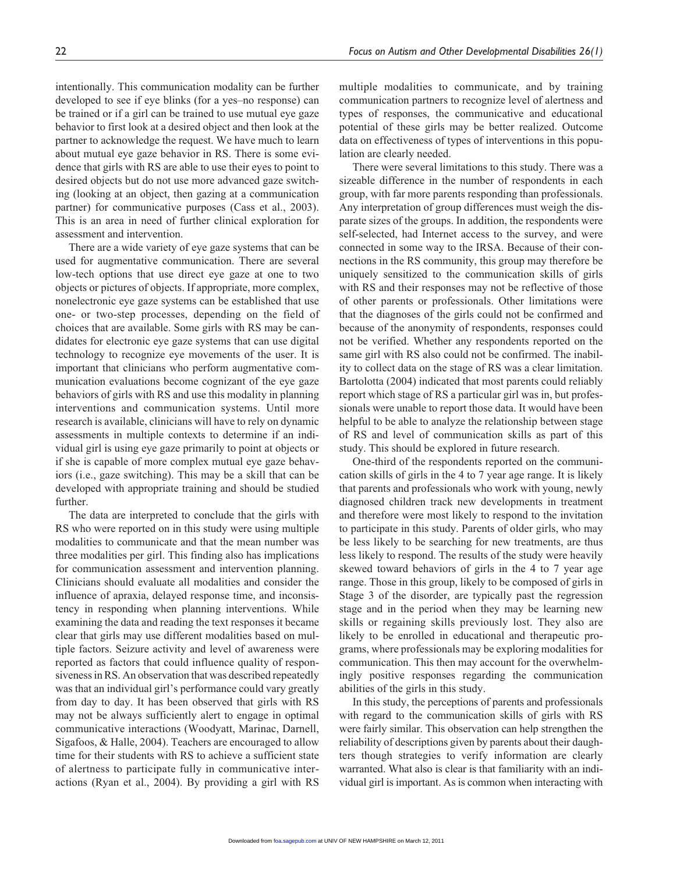22 *Focus on Autism and Other Developmental Disabilities 26(1)*

intentionally. This communication modality can be further developed to see if eye blinks (for a yes–no response) can be trained or if a girl can be trained to use mutual eye gaze behavior to first look at a desired object and then look at the partner to acknowledge the request. We have much to learn about mutual eye gaze behavior in RS. There is some evidence that girls with RS are able to use their eyes to point to desired objects but do not use more advanced gaze switching (looking at an object, then gazing at a communication partner) for communicative purposes (Cass et al., 2003). This is an area in need of further clinical exploration for assessment and intervention.

There are a wide variety of eye gaze systems that can be used for augmentative communication. There are several low-tech options that use direct eye gaze at one to two objects or pictures of objects. If appropriate, more complex, nonelectronic eye gaze systems can be established that use one- or two-step processes, depending on the field of choices that are available. Some girls with RS may be candidates for electronic eye gaze systems that can use digital technology to recognize eye movements of the user. It is important that clinicians who perform augmentative communication evaluations become cognizant of the eye gaze behaviors of girls with RS and use this modality in planning interventions and communication systems. Until more research is available, clinicians will have to rely on dynamic assessments in multiple contexts to determine if an individual girl is using eye gaze primarily to point at objects or if she is capable of more complex mutual eye gaze behaviors (i.e., gaze switching). This may be a skill that can be developed with appropriate training and should be studied further.

The data are interpreted to conclude that the girls with RS who were reported on in this study were using multiple modalities to communicate and that the mean number was three modalities per girl. This finding also has implications for communication assessment and intervention planning. Clinicians should evaluate all modalities and consider the influence of apraxia, delayed response time, and inconsistency in responding when planning interventions. While examining the data and reading the text responses it became clear that girls may use different modalities based on multiple factors. Seizure activity and level of awareness were reported as factors that could influence quality of responsiveness in RS. An observation that was described repeatedly was that an individual girl's performance could vary greatly from day to day. It has been observed that girls with RS may not be always sufficiently alert to engage in optimal communicative interactions (Woodyatt, Marinac, Darnell, Sigafoos, & Halle, 2004). Teachers are encouraged to allow time for their students with RS to achieve a sufficient state of alertness to participate fully in communicative interactions (Ryan et al., 2004). By providing a girl with RS multiple modalities to communicate, and by training communication partners to recognize level of alertness and types of responses, the communicative and educational potential of these girls may be better realized. Outcome data on effectiveness of types of interventions in this population are clearly needed.

There were several limitations to this study. There was a sizeable difference in the number of respondents in each group, with far more parents responding than professionals. Any interpretation of group differences must weigh the disparate sizes of the groups. In addition, the respondents were self-selected, had Internet access to the survey, and were connected in some way to the IRSA. Because of their connections in the RS community, this group may therefore be uniquely sensitized to the communication skills of girls with RS and their responses may not be reflective of those of other parents or professionals. Other limitations were that the diagnoses of the girls could not be confirmed and because of the anonymity of respondents, responses could not be verified. Whether any respondents reported on the same girl with RS also could not be confirmed. The inability to collect data on the stage of RS was a clear limitation. Bartolotta (2004) indicated that most parents could reliably report which stage of RS a particular girl was in, but professionals were unable to report those data. It would have been helpful to be able to analyze the relationship between stage of RS and level of communication skills as part of this study. This should be explored in future research.

One-third of the respondents reported on the communication skills of girls in the 4 to 7 year age range. It is likely that parents and professionals who work with young, newly diagnosed children track new developments in treatment and therefore were most likely to respond to the invitation to participate in this study. Parents of older girls, who may be less likely to be searching for new treatments, are thus less likely to respond. The results of the study were heavily skewed toward behaviors of girls in the 4 to 7 year age range. Those in this group, likely to be composed of girls in Stage 3 of the disorder, are typically past the regression stage and in the period when they may be learning new skills or regaining skills previously lost. They also are likely to be enrolled in educational and therapeutic programs, where professionals may be exploring modalities for communication. This then may account for the overwhelmingly positive responses regarding the communication abilities of the girls in this study.

In this study, the perceptions of parents and professionals with regard to the communication skills of girls with RS were fairly similar. This observation can help strengthen the reliability of descriptions given by parents about their daughters though strategies to verify information are clearly warranted. What also is clear is that familiarity with an individual girl is important. As is common when interacting with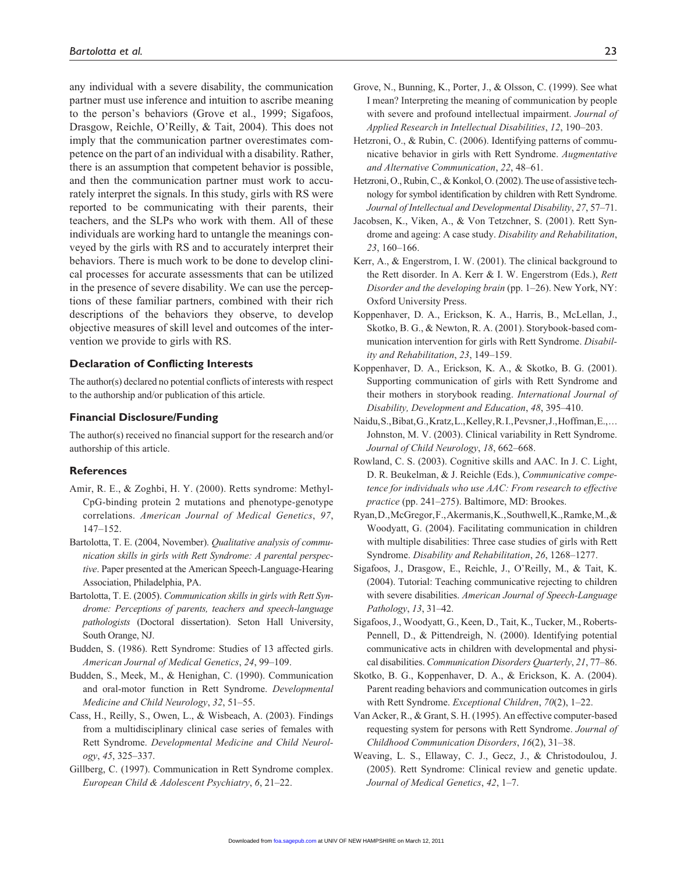any individual with a severe disability, the communication partner must use inference and intuition to ascribe meaning to the person's behaviors (Grove et al., 1999; Sigafoos, Drasgow, Reichle, O'Reilly, & Tait, 2004). This does not imply that the communication partner overestimates competence on the part of an individual with a disability. Rather, there is an assumption that competent behavior is possible, and then the communication partner must work to accurately interpret the signals. In this study, girls with RS were reported to be communicating with their parents, their teachers, and the SLPs who work with them. All of these individuals are working hard to untangle the meanings conveyed by the girls with RS and to accurately interpret their behaviors. There is much work to be done to develop clinical processes for accurate assessments that can be utilized in the presence of severe disability. We can use the perceptions of these familiar partners, combined with their rich descriptions of the behaviors they observe, to develop objective measures of skill level and outcomes of the intervention we provide to girls with RS.

#### **Declaration of Conflicting Interests**

The author(s) declared no potential conflicts of interests with respect to the authorship and/or publication of this article.

#### **Financial Disclosure/Funding**

The author(s) received no financial support for the research and/or authorship of this article.

#### **References**

- Amir, R. E., & Zoghbi, H. Y. (2000). Retts syndrome: Methyl-CpG-binding protein 2 mutations and phenotype-genotype correlations. *American Journal of Medical Genetics*, *97*, 147–152.
- Bartolotta, T. E. (2004, November). *Qualitative analysis of communication skills in girls with Rett Syndrome: A parental perspective*. Paper presented at the American Speech-Language-Hearing Association, Philadelphia, PA.
- Bartolotta, T. E. (2005). *Communication skills in girls with Rett Syndrome: Perceptions of parents, teachers and speech-language pathologists* (Doctoral dissertation). Seton Hall University, South Orange, NJ.
- Budden, S. (1986). Rett Syndrome: Studies of 13 affected girls. *American Journal of Medical Genetics*, *24*, 99–109.
- Budden, S., Meek, M., & Henighan, C. (1990). Communication and oral-motor function in Rett Syndrome. *Developmental Medicine and Child Neurology*, *32*, 51–55.
- Cass, H., Reilly, S., Owen, L., & Wisbeach, A. (2003). Findings from a multidisciplinary clinical case series of females with Rett Syndrome. *Developmental Medicine and Child Neurology*, *45*, 325–337.
- Gillberg, C. (1997). Communication in Rett Syndrome complex. *European Child & Adolescent Psychiatry*, *6*, 21–22.
- Grove, N., Bunning, K., Porter, J., & Olsson, C. (1999). See what I mean? Interpreting the meaning of communication by people with severe and profound intellectual impairment. *Journal of Applied Research in Intellectual Disabilities*, *12*, 190–203.
- Hetzroni, O., & Rubin, C. (2006). Identifying patterns of communicative behavior in girls with Rett Syndrome. *Augmentative and Alternative Communication*, *22*, 48–61.
- Hetzroni, O., Rubin, C., & Konkol, O. (2002). The use of assistive technology for symbol identification by children with Rett Syndrome. *Journal of Intellectual and Developmental Disability*, *27*, 57–71.
- Jacobsen, K., Viken, A., & Von Tetzchner, S. (2001). Rett Syndrome and ageing: A case study. *Disability and Rehabilitation*, *23*, 160–166.
- Kerr, A., & Engerstrom, I. W. (2001). The clinical background to the Rett disorder. In A. Kerr & I. W. Engerstrom (Eds.), *Rett Disorder and the developing brain* (pp. 1–26). New York, NY: Oxford University Press.
- Koppenhaver, D. A., Erickson, K. A., Harris, B., McLellan, J., Skotko, B. G., & Newton, R. A. (2001). Storybook-based communication intervention for girls with Rett Syndrome. *Disability and Rehabilitation*, *23*, 149–159.
- Koppenhaver, D. A., Erickson, K. A., & Skotko, B. G. (2001). Supporting communication of girls with Rett Syndrome and their mothers in storybook reading. *International Journal of Disability, Development and Education*, *48*, 395–410.
- Naidu, S., Bibat, G., Kratz, L., Kelley, R. I., Pevsner, J., Hoffman, E.,... Johnston, M. V. (2003). Clinical variability in Rett Syndrome. *Journal of Child Neurology*, *18*, 662–668.
- Rowland, C. S. (2003). Cognitive skills and AAC. In J. C. Light, D. R. Beukelman, & J. Reichle (Eds.), *Communicative competence for individuals who use AAC: From research to effective practice* (pp. 241–275). Baltimore, MD: Brookes.
- Ryan, D., McGregor, F., Akermanis, K., Southwell, K., Ramke, M., & Woodyatt, G. (2004). Facilitating communication in children with multiple disabilities: Three case studies of girls with Rett Syndrome. *Disability and Rehabilitation*, *26*, 1268–1277.
- Sigafoos, J., Drasgow, E., Reichle, J., O'Reilly, M., & Tait, K. (2004). Tutorial: Teaching communicative rejecting to children with severe disabilities. *American Journal of Speech-Language Pathology*, *13*, 31–42.
- Sigafoos, J., Woodyatt, G., Keen, D., Tait, K., Tucker, M., Roberts-Pennell, D., & Pittendreigh, N. (2000). Identifying potential communicative acts in children with developmental and physical disabilities. *Communication Disorders Quarterly*, *21*, 77–86.
- Skotko, B. G., Koppenhaver, D. A., & Erickson, K. A. (2004). Parent reading behaviors and communication outcomes in girls with Rett Syndrome. *Exceptional Children*, *70*(2), 1–22.
- Van Acker, R., & Grant, S. H. (1995). An effective computer-based requesting system for persons with Rett Syndrome. *Journal of Childhood Communication Disorders*, *16*(2), 31–38.
- Weaving, L. S., Ellaway, C. J., Gecz, J., & Christodoulou, J. (2005). Rett Syndrome: Clinical review and genetic update. *Journal of Medical Genetics*, *42*, 1–7.